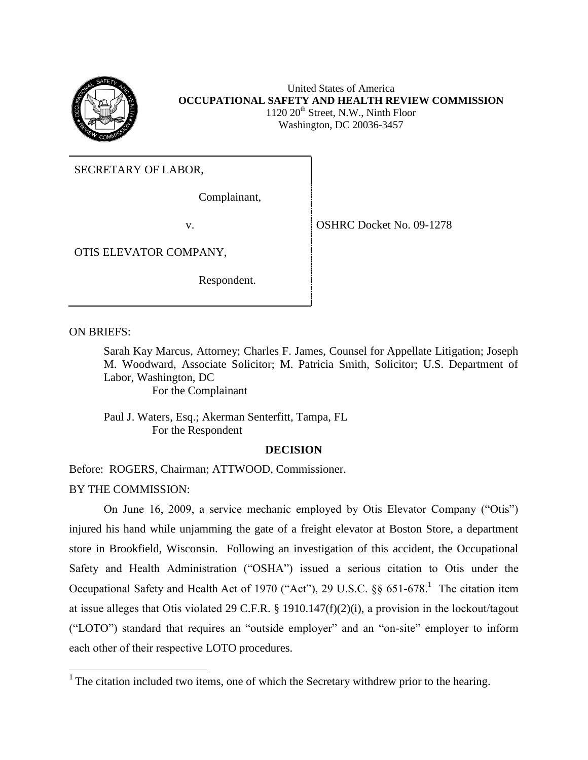

United States of America **OCCUPATIONAL SAFETY AND HEALTH REVIEW COMMISSION**  $1120 20<sup>th</sup>$  Street, N.W., Ninth Floor Washington, DC 20036-3457

SECRETARY OF LABOR,

Complainant,

v. Solution of the Solution of the OSHRC Docket No. 09-1278

OTIS ELEVATOR COMPANY,

Respondent.

ON BRIEFS:

 $\overline{a}$ 

Sarah Kay Marcus, Attorney; Charles F. James, Counsel for Appellate Litigation; Joseph M. Woodward, Associate Solicitor; M. Patricia Smith, Solicitor; U.S. Department of Labor, Washington, DC

For the Complainant

Paul J. Waters, Esq.; Akerman Senterfitt, Tampa, FL For the Respondent

# **DECISION**

Before: ROGERS, Chairman; ATTWOOD, Commissioner. BY THE COMMISSION:

On June 16, 2009, a service mechanic employed by Otis Elevator Company ("Otis") injured his hand while unjamming the gate of a freight elevator at Boston Store, a department store in Brookfield, Wisconsin. Following an investigation of this accident, the Occupational Safety and Health Administration ("OSHA") issued a serious citation to Otis under the Occupational Safety and Health Act of 1970 ("Act"), 29 U.S.C.  $\S\S 651-678$ .<sup>1</sup> The citation item at issue alleges that Otis violated 29 C.F.R. § 1910.147(f)(2)(i), a provision in the lockout/tagout ("LOTO") standard that requires an "outside employer" and an "on-site" employer to inform each other of their respective LOTO procedures.

<sup>&</sup>lt;sup>1</sup> The citation included two items, one of which the Secretary withdrew prior to the hearing.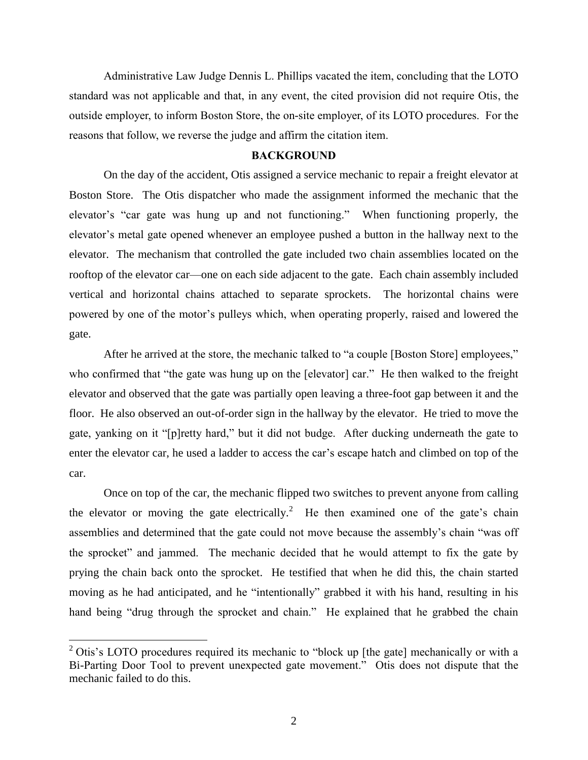Administrative Law Judge Dennis L. Phillips vacated the item, concluding that the LOTO standard was not applicable and that, in any event, the cited provision did not require Otis, the outside employer, to inform Boston Store, the on-site employer, of its LOTO procedures. For the reasons that follow, we reverse the judge and affirm the citation item.

## **BACKGROUND**

On the day of the accident, Otis assigned a service mechanic to repair a freight elevator at Boston Store. The Otis dispatcher who made the assignment informed the mechanic that the elevator's "car gate was hung up and not functioning." When functioning properly, the elevator's metal gate opened whenever an employee pushed a button in the hallway next to the elevator. The mechanism that controlled the gate included two chain assemblies located on the rooftop of the elevator car—one on each side adjacent to the gate. Each chain assembly included vertical and horizontal chains attached to separate sprockets. The horizontal chains were powered by one of the motor's pulleys which, when operating properly, raised and lowered the gate.

After he arrived at the store, the mechanic talked to "a couple [Boston Store] employees," who confirmed that "the gate was hung up on the [elevator] car." He then walked to the freight elevator and observed that the gate was partially open leaving a three-foot gap between it and the floor. He also observed an out-of-order sign in the hallway by the elevator. He tried to move the gate, yanking on it "[p]retty hard," but it did not budge. After ducking underneath the gate to enter the elevator car, he used a ladder to access the car's escape hatch and climbed on top of the car.

Once on top of the car, the mechanic flipped two switches to prevent anyone from calling the elevator or moving the gate electrically.<sup>2</sup> He then examined one of the gate's chain assemblies and determined that the gate could not move because the assembly's chain "was off the sprocket" and jammed. The mechanic decided that he would attempt to fix the gate by prying the chain back onto the sprocket. He testified that when he did this, the chain started moving as he had anticipated, and he "intentionally" grabbed it with his hand, resulting in his hand being "drug through the sprocket and chain." He explained that he grabbed the chain

 $2$  Otis's LOTO procedures required its mechanic to "block up [the gate] mechanically or with a Bi-Parting Door Tool to prevent unexpected gate movement." Otis does not dispute that the mechanic failed to do this.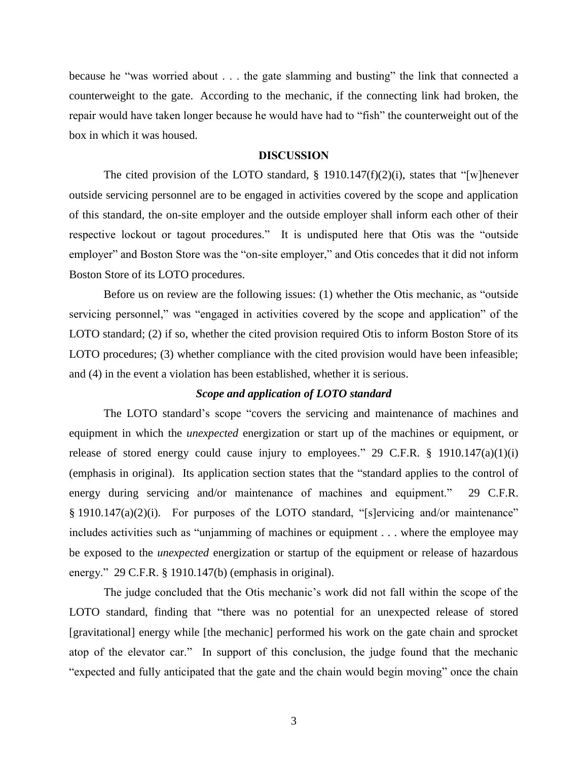because he "was worried about . . . the gate slamming and busting" the link that connected a counterweight to the gate. According to the mechanic, if the connecting link had broken, the repair would have taken longer because he would have had to "fish" the counterweight out of the box in which it was housed.

### **DISCUSSION**

The cited provision of the LOTO standard,  $\S$  1910.147(f)(2)(i), states that "[w]henever outside servicing personnel are to be engaged in activities covered by the scope and application of this standard, the on-site employer and the outside employer shall inform each other of their respective lockout or tagout procedures." It is undisputed here that Otis was the "outside employer" and Boston Store was the "on-site employer," and Otis concedes that it did not inform Boston Store of its LOTO procedures.

Before us on review are the following issues: (1) whether the Otis mechanic, as "outside servicing personnel," was "engaged in activities covered by the scope and application" of the LOTO standard; (2) if so, whether the cited provision required Otis to inform Boston Store of its LOTO procedures; (3) whether compliance with the cited provision would have been infeasible; and (4) in the event a violation has been established, whether it is serious.

#### *Scope and application of LOTO standard*

The LOTO standard's scope "covers the servicing and maintenance of machines and equipment in which the *unexpected* energization or start up of the machines or equipment, or release of stored energy could cause injury to employees." 29 C.F.R.  $\S$  1910.147(a)(1)(i) (emphasis in original). Its application section states that the "standard applies to the control of energy during servicing and/or maintenance of machines and equipment." 29 C.F.R. § 1910.147(a)(2)(i). For purposes of the LOTO standard, "[s]ervicing and/or maintenance" includes activities such as "unjamming of machines or equipment . . . where the employee may be exposed to the *unexpected* energization or startup of the equipment or release of hazardous energy." 29 C.F.R. § 1910.147(b) (emphasis in original).

The judge concluded that the Otis mechanic's work did not fall within the scope of the LOTO standard, finding that "there was no potential for an unexpected release of stored [gravitational] energy while [the mechanic] performed his work on the gate chain and sprocket atop of the elevator car." In support of this conclusion, the judge found that the mechanic "expected and fully anticipated that the gate and the chain would begin moving" once the chain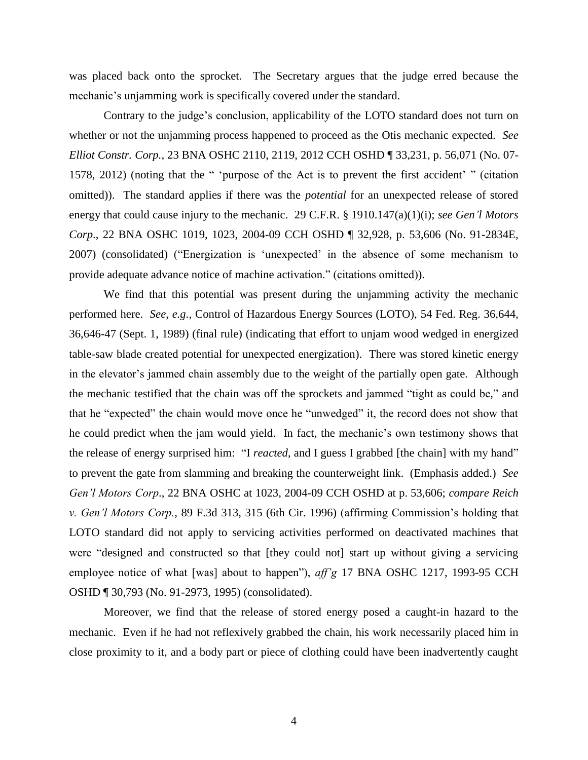was placed back onto the sprocket. The Secretary argues that the judge erred because the mechanic's unjamming work is specifically covered under the standard.

Contrary to the judge's conclusion, applicability of the LOTO standard does not turn on whether or not the unjamming process happened to proceed as the Otis mechanic expected. *See Elliot Constr. Corp.*, 23 BNA OSHC 2110, 2119, 2012 CCH OSHD ¶ 33,231, p. 56,071 (No. 07- 1578, 2012) (noting that the " 'purpose of the Act is to prevent the first accident' " (citation omitted)). The standard applies if there was the *potential* for an unexpected release of stored energy that could cause injury to the mechanic. 29 C.F.R. § 1910.147(a)(1)(i); *see Gen'l Motors Corp*., 22 BNA OSHC 1019, 1023, 2004-09 CCH OSHD ¶ 32,928, p. 53,606 (No. 91-2834E, 2007) (consolidated) ("Energization is 'unexpected' in the absence of some mechanism to provide adequate advance notice of machine activation." (citations omitted)).

We find that this potential was present during the unjamming activity the mechanic performed here. *See, e.g.,* Control of Hazardous Energy Sources (LOTO), 54 Fed. Reg. 36,644, 36,646-47 (Sept. 1, 1989) (final rule) (indicating that effort to unjam wood wedged in energized table-saw blade created potential for unexpected energization). There was stored kinetic energy in the elevator's jammed chain assembly due to the weight of the partially open gate. Although the mechanic testified that the chain was off the sprockets and jammed "tight as could be," and that he "expected" the chain would move once he "unwedged" it, the record does not show that he could predict when the jam would yield. In fact, the mechanic's own testimony shows that the release of energy surprised him: "I *reacted*, and I guess I grabbed [the chain] with my hand" to prevent the gate from slamming and breaking the counterweight link. (Emphasis added.) *See Gen'l Motors Corp*., 22 BNA OSHC at 1023, 2004-09 CCH OSHD at p. 53,606; *compare Reich v. Gen'l Motors Corp.*, 89 F.3d 313, 315 (6th Cir. 1996) (affirming Commission's holding that LOTO standard did not apply to servicing activities performed on deactivated machines that were "designed and constructed so that [they could not] start up without giving a servicing employee notice of what [was] about to happen"), *aff'g* 17 BNA OSHC 1217, 1993-95 CCH OSHD ¶ 30,793 (No. 91-2973, 1995) (consolidated).

Moreover, we find that the release of stored energy posed a caught-in hazard to the mechanic. Even if he had not reflexively grabbed the chain, his work necessarily placed him in close proximity to it, and a body part or piece of clothing could have been inadvertently caught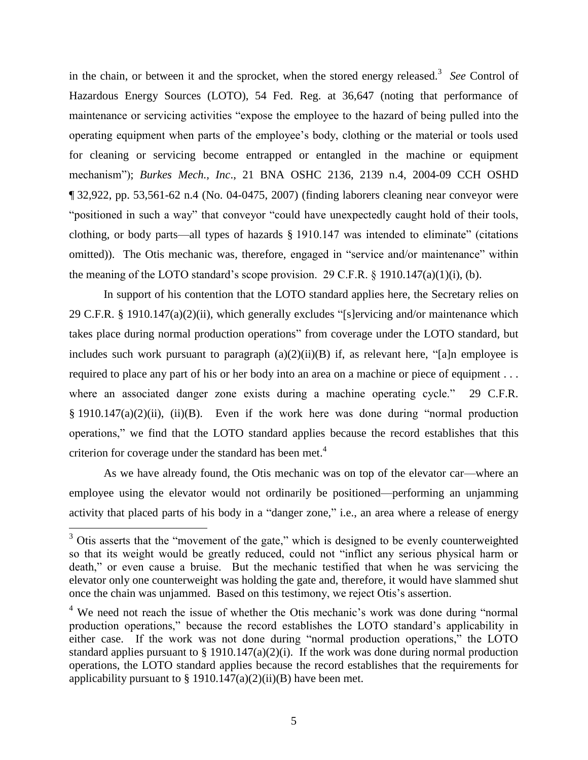in the chain, or between it and the sprocket, when the stored energy released.<sup>3</sup> *See* Control of Hazardous Energy Sources (LOTO), 54 Fed. Reg. at 36,647 (noting that performance of maintenance or servicing activities "expose the employee to the hazard of being pulled into the operating equipment when parts of the employee's body, clothing or the material or tools used for cleaning or servicing become entrapped or entangled in the machine or equipment mechanism"); *Burkes Mech., Inc*., 21 BNA OSHC 2136, 2139 n.4, 2004-09 CCH OSHD ¶ 32,922, pp. 53,561-62 n.4 (No. 04-0475, 2007) (finding laborers cleaning near conveyor were "positioned in such a way" that conveyor "could have unexpectedly caught hold of their tools, clothing, or body parts—all types of hazards § 1910.147 was intended to eliminate" (citations omitted)). The Otis mechanic was, therefore, engaged in "service and/or maintenance" within the meaning of the LOTO standard's scope provision. 29 C.F.R.  $\S$  1910.147(a)(1)(i), (b).

In support of his contention that the LOTO standard applies here, the Secretary relies on 29 C.F.R. § 1910.147(a)(2)(ii), which generally excludes "[s]ervicing and/or maintenance which takes place during normal production operations" from coverage under the LOTO standard, but includes such work pursuant to paragraph  $(a)(2)(ii)(B)$  if, as relevant here, "[a]n employee is required to place any part of his or her body into an area on a machine or piece of equipment . . . where an associated danger zone exists during a machine operating cycle." 29 C.F.R.  $§$  1910.147(a)(2)(ii), (ii)(B). Even if the work here was done during "normal production operations," we find that the LOTO standard applies because the record establishes that this criterion for coverage under the standard has been met. $4$ 

As we have already found, the Otis mechanic was on top of the elevator car—where an employee using the elevator would not ordinarily be positioned—performing an unjamming activity that placed parts of his body in a "danger zone," i.e., an area where a release of energy

 $3$  Otis asserts that the "movement of the gate," which is designed to be evenly counterweighted so that its weight would be greatly reduced, could not "inflict any serious physical harm or death," or even cause a bruise. But the mechanic testified that when he was servicing the elevator only one counterweight was holding the gate and, therefore, it would have slammed shut once the chain was unjammed. Based on this testimony, we reject Otis's assertion.

<sup>&</sup>lt;sup>4</sup> We need not reach the issue of whether the Otis mechanic's work was done during "normal" production operations," because the record establishes the LOTO standard's applicability in either case. If the work was not done during "normal production operations," the LOTO standard applies pursuant to  $\S 1910.147(a)(2)(i)$ . If the work was done during normal production operations, the LOTO standard applies because the record establishes that the requirements for applicability pursuant to § 1910.147(a)(2)(ii)(B) have been met.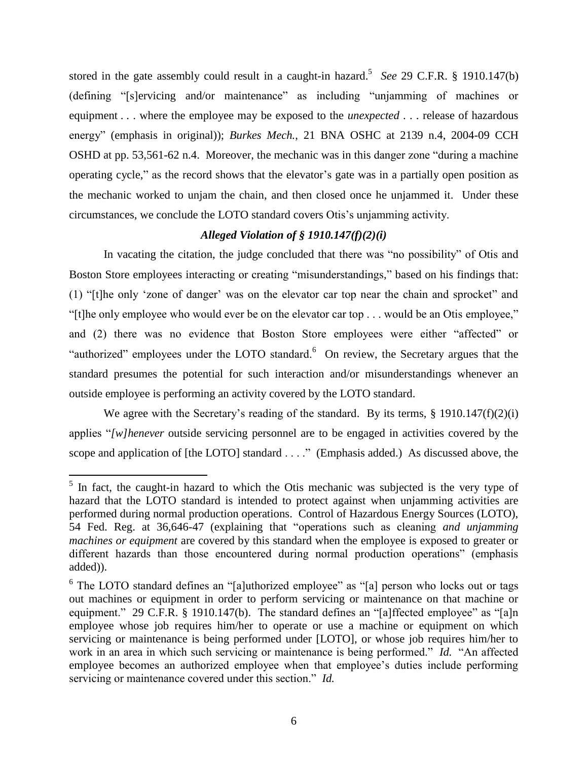stored in the gate assembly could result in a caught-in hazard.<sup>5</sup> See 29 C.F.R. § 1910.147(b) (defining "[s]ervicing and/or maintenance" as including "unjamming of machines or equipment . . . where the employee may be exposed to the *unexpected* . . . release of hazardous energy" (emphasis in original)); *Burkes Mech.*, 21 BNA OSHC at 2139 n.4, 2004-09 CCH OSHD at pp. 53,561-62 n.4. Moreover, the mechanic was in this danger zone "during a machine operating cycle," as the record shows that the elevator's gate was in a partially open position as the mechanic worked to unjam the chain, and then closed once he unjammed it. Under these circumstances, we conclude the LOTO standard covers Otis's unjamming activity.

# *Alleged Violation of § 1910.147(f)(2)(i)*

In vacating the citation, the judge concluded that there was "no possibility" of Otis and Boston Store employees interacting or creating "misunderstandings," based on his findings that: (1) "[t]he only 'zone of danger' was on the elevator car top near the chain and sprocket" and "[t]he only employee who would ever be on the elevator car top . . . would be an Otis employee," and (2) there was no evidence that Boston Store employees were either "affected" or "authorized" employees under the LOTO standard. $6$  On review, the Secretary argues that the standard presumes the potential for such interaction and/or misunderstandings whenever an outside employee is performing an activity covered by the LOTO standard.

We agree with the Secretary's reading of the standard. By its terms, § 1910.147(f)(2)(i) applies "*[w]henever* outside servicing personnel are to be engaged in activities covered by the scope and application of [the LOTO] standard . . . ." (Emphasis added.) As discussed above, the

<sup>&</sup>lt;sup>5</sup> In fact, the caught-in hazard to which the Otis mechanic was subjected is the very type of hazard that the LOTO standard is intended to protect against when unjamming activities are performed during normal production operations. Control of Hazardous Energy Sources (LOTO), 54 Fed. Reg. at 36,646-47 (explaining that "operations such as cleaning *and unjamming machines or equipment* are covered by this standard when the employee is exposed to greater or different hazards than those encountered during normal production operations" (emphasis added)).

<sup>&</sup>lt;sup>6</sup> The LOTO standard defines an "[a]uthorized employee" as "[a] person who locks out or tags out machines or equipment in order to perform servicing or maintenance on that machine or equipment." 29 C.F.R. § 1910.147(b). The standard defines an "[a]ffected employee" as "[a]n employee whose job requires him/her to operate or use a machine or equipment on which servicing or maintenance is being performed under [LOTO], or whose job requires him/her to work in an area in which such servicing or maintenance is being performed." *Id.* "An affected employee becomes an authorized employee when that employee's duties include performing servicing or maintenance covered under this section." *Id.*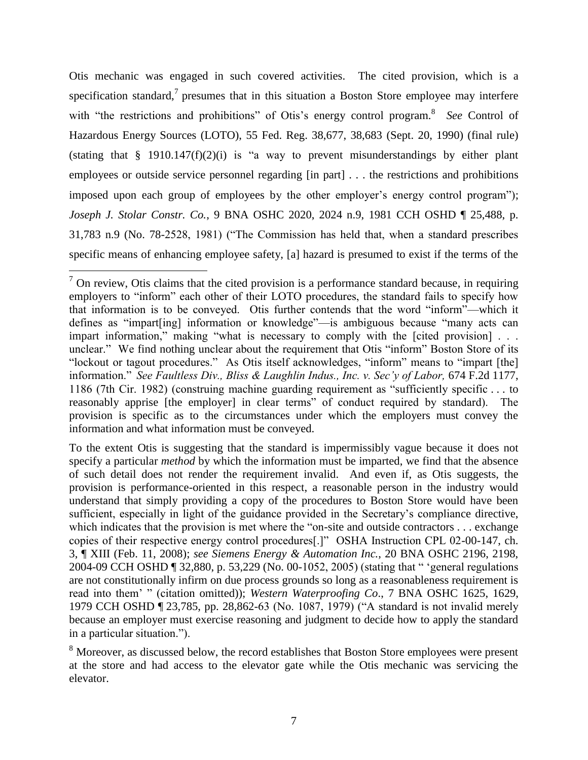Otis mechanic was engaged in such covered activities. The cited provision, which is a specification standard, $\frac{7}{7}$  presumes that in this situation a Boston Store employee may interfere with "the restrictions and prohibitions" of Otis's energy control program.<sup>8</sup> See Control of Hazardous Energy Sources (LOTO), 55 Fed. Reg. 38,677, 38,683 (Sept. 20, 1990) (final rule) (stating that  $\S$  1910.147(f)(2)(i) is "a way to prevent misunderstandings by either plant employees or outside service personnel regarding [in part] . . . the restrictions and prohibitions imposed upon each group of employees by the other employer's energy control program"); *Joseph J. Stolar Constr. Co.*, 9 BNA OSHC 2020, 2024 n.9, 1981 CCH OSHD ¶ 25,488, p. 31,783 n.9 (No. 78-2528, 1981) ("The Commission has held that, when a standard prescribes specific means of enhancing employee safety, [a] hazard is presumed to exist if the terms of the

 $<sup>7</sup>$  On review, Otis claims that the cited provision is a performance standard because, in requiring</sup> employers to "inform" each other of their LOTO procedures, the standard fails to specify how that information is to be conveyed. Otis further contends that the word "inform"—which it defines as "impart[ing] information or knowledge"—is ambiguous because "many acts can impart information," making "what is necessary to comply with the [cited provision] . . . unclear." We find nothing unclear about the requirement that Otis "inform" Boston Store of its "lockout or tagout procedures." As Otis itself acknowledges, "inform" means to "impart [the] information." *See Faultless Div., Bliss & Laughlin Indus., Inc. v. Sec'y of Labor,* 674 F.2d 1177, 1186 (7th Cir. 1982) (construing machine guarding requirement as "sufficiently specific . . . to reasonably apprise [the employer] in clear terms" of conduct required by standard). The provision is specific as to the circumstances under which the employers must convey the information and what information must be conveyed.

To the extent Otis is suggesting that the standard is impermissibly vague because it does not specify a particular *method* by which the information must be imparted, we find that the absence of such detail does not render the requirement invalid. And even if, as Otis suggests, the provision is performance-oriented in this respect, a reasonable person in the industry would understand that simply providing a copy of the procedures to Boston Store would have been sufficient, especially in light of the guidance provided in the Secretary's compliance directive, which indicates that the provision is met where the "on-site and outside contractors . . . exchange copies of their respective energy control procedures[.]" OSHA Instruction CPL 02-00-147, ch. 3, ¶ XIII (Feb. 11, 2008); *see Siemens Energy & Automation Inc.*, 20 BNA OSHC 2196, 2198, 2004-09 CCH OSHD ¶ 32,880, p. 53,229 (No. 00-1052, 2005) (stating that " 'general regulations are not constitutionally infirm on due process grounds so long as a reasonableness requirement is read into them' " (citation omitted)); *Western Waterproofing Co*., 7 BNA OSHC 1625, 1629, 1979 CCH OSHD ¶ 23,785, pp. 28,862-63 (No. 1087, 1979) ("A standard is not invalid merely because an employer must exercise reasoning and judgment to decide how to apply the standard in a particular situation.").

<sup>&</sup>lt;sup>8</sup> Moreover, as discussed below, the record establishes that Boston Store employees were present at the store and had access to the elevator gate while the Otis mechanic was servicing the elevator.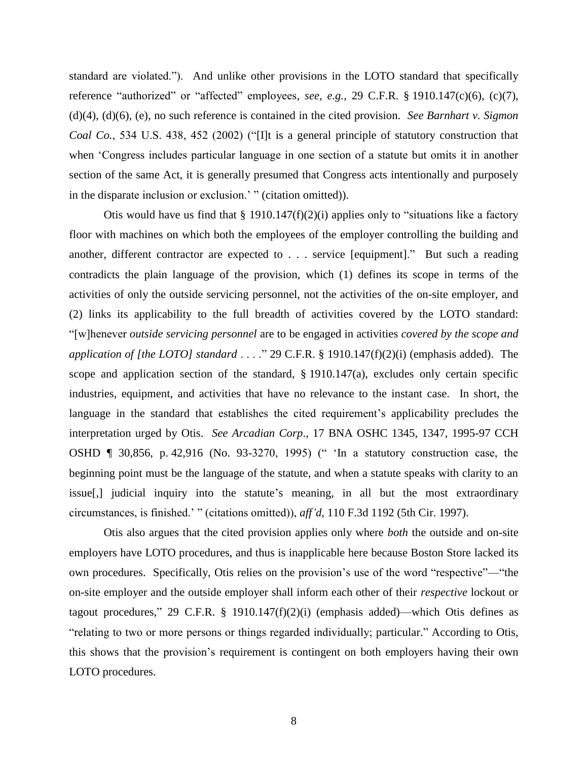standard are violated."). And unlike other provisions in the LOTO standard that specifically reference "authorized" or "affected" employees, *see, e.g.*, 29 C.F.R. § 1910.147(c)(6), (c)(7), (d)(4), (d)(6), (e), no such reference is contained in the cited provision. *See Barnhart v. Sigmon Coal Co.*, 534 U.S. 438, 452 (2002) ("[I]t is a general principle of statutory construction that when 'Congress includes particular language in one section of a statute but omits it in another section of the same Act, it is generally presumed that Congress acts intentionally and purposely in the disparate inclusion or exclusion.' " (citation omitted)).

Otis would have us find that  $\S 1910.147(f)(2)(i)$  applies only to "situations like a factory floor with machines on which both the employees of the employer controlling the building and another, different contractor are expected to . . . service [equipment]." But such a reading contradicts the plain language of the provision, which (1) defines its scope in terms of the activities of only the outside servicing personnel, not the activities of the on-site employer, and (2) links its applicability to the full breadth of activities covered by the LOTO standard: "[w]henever *outside servicing personnel* are to be engaged in activities *covered by the scope and application of [the LOTO] standard* . . . ." 29 C.F.R. § 1910.147(f)(2)(i) (emphasis added). The scope and application section of the standard, § 1910.147(a), excludes only certain specific industries, equipment, and activities that have no relevance to the instant case. In short, the language in the standard that establishes the cited requirement's applicability precludes the interpretation urged by Otis. *See Arcadian Corp*., 17 BNA OSHC 1345, 1347, 1995-97 CCH OSHD ¶ 30,856, p. 42,916 (No. 93-3270, 1995) (" 'In a statutory construction case, the beginning point must be the language of the statute, and when a statute speaks with clarity to an issue[,] judicial inquiry into the statute's meaning, in all but the most extraordinary circumstances, is finished.' " (citations omitted)), *aff'd*, 110 F.3d 1192 (5th Cir. 1997).

Otis also argues that the cited provision applies only where *both* the outside and on-site employers have LOTO procedures, and thus is inapplicable here because Boston Store lacked its own procedures. Specifically, Otis relies on the provision's use of the word "respective"—"the on-site employer and the outside employer shall inform each other of their *respective* lockout or tagout procedures," 29 C.F.R. § 1910.147 $(f)(2)(i)$  (emphasis added)—which Otis defines as "relating to two or more persons or things regarded individually; particular." According to Otis, this shows that the provision's requirement is contingent on both employers having their own LOTO procedures.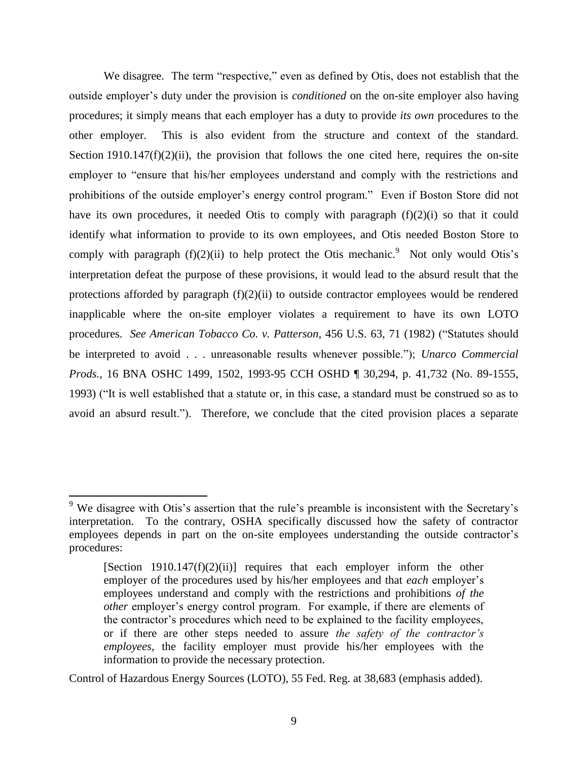We disagree. The term "respective," even as defined by Otis, does not establish that the outside employer's duty under the provision is *conditioned* on the on-site employer also having procedures; it simply means that each employer has a duty to provide *its own* procedures to the other employer. This is also evident from the structure and context of the standard. Section 1910.147 $(f)(2)(ii)$ , the provision that follows the one cited here, requires the on-site employer to "ensure that his/her employees understand and comply with the restrictions and prohibitions of the outside employer's energy control program." Even if Boston Store did not have its own procedures, it needed Otis to comply with paragraph (f)(2)(i) so that it could identify what information to provide to its own employees, and Otis needed Boston Store to comply with paragraph  $(f)(2)(ii)$  to help protect the Otis mechanic.<sup>9</sup> Not only would Otis's interpretation defeat the purpose of these provisions, it would lead to the absurd result that the protections afforded by paragraph  $(f)(2)(ii)$  to outside contractor employees would be rendered inapplicable where the on-site employer violates a requirement to have its own LOTO procedures. *See American Tobacco Co. v. Patterson*, 456 U.S. 63, 71 (1982) ("Statutes should be interpreted to avoid . . . unreasonable results whenever possible."); *Unarco Commercial Prods.*, 16 BNA OSHC 1499, 1502, 1993-95 CCH OSHD ¶ 30,294, p. 41,732 (No. 89-1555, 1993) ("It is well established that a statute or, in this case, a standard must be construed so as to avoid an absurd result."). Therefore, we conclude that the cited provision places a separate

 $\overline{a}$ 

Control of Hazardous Energy Sources (LOTO), 55 Fed. Reg. at 38,683 (emphasis added).

 $9\,$  We disagree with Otis's assertion that the rule's preamble is inconsistent with the Secretary's interpretation. To the contrary, OSHA specifically discussed how the safety of contractor employees depends in part on the on-site employees understanding the outside contractor's procedures:

<sup>[</sup>Section 1910.147 $(f)(2)(ii)$ ] requires that each employer inform the other employer of the procedures used by his/her employees and that *each* employer's employees understand and comply with the restrictions and prohibitions *of the other* employer's energy control program. For example, if there are elements of the contractor's procedures which need to be explained to the facility employees, or if there are other steps needed to assure *the safety of the contractor's employees*, the facility employer must provide his/her employees with the information to provide the necessary protection.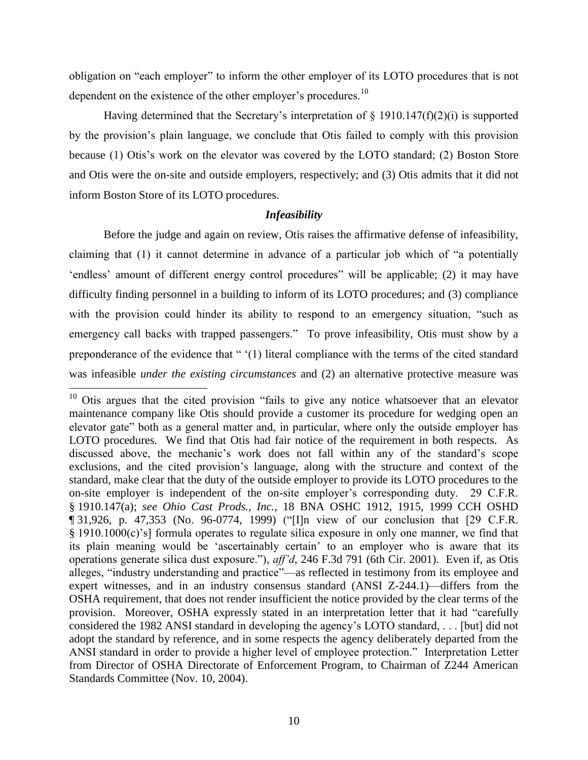obligation on "each employer" to inform the other employer of its LOTO procedures that is not dependent on the existence of the other employer's procedures.<sup>10</sup>

Having determined that the Secretary's interpretation of  $\S$  1910.147(f)(2)(i) is supported by the provision's plain language, we conclude that Otis failed to comply with this provision because (1) Otis's work on the elevator was covered by the LOTO standard; (2) Boston Store and Otis were the on-site and outside employers, respectively; and (3) Otis admits that it did not inform Boston Store of its LOTO procedures.

### *Infeasibility*

Before the judge and again on review, Otis raises the affirmative defense of infeasibility, claiming that (1) it cannot determine in advance of a particular job which of "a potentially 'endless' amount of different energy control procedures" will be applicable; (2) it may have difficulty finding personnel in a building to inform of its LOTO procedures; and (3) compliance with the provision could hinder its ability to respond to an emergency situation, "such as emergency call backs with trapped passengers." To prove infeasibility, Otis must show by a preponderance of the evidence that " '(1) literal compliance with the terms of the cited standard was infeasible *under the existing circumstances* and (2) an alternative protective measure was

 $10$  Otis argues that the cited provision "fails to give any notice whatsoever that an elevator maintenance company like Otis should provide a customer its procedure for wedging open an elevator gate" both as a general matter and, in particular, where only the outside employer has LOTO procedures. We find that Otis had fair notice of the requirement in both respects. As discussed above, the mechanic's work does not fall within any of the standard's scope exclusions, and the cited provision's language, along with the structure and context of the standard, make clear that the duty of the outside employer to provide its LOTO procedures to the on-site employer is independent of the on-site employer's corresponding duty. 29 C.F.R. § 1910.147(a); *see Ohio Cast Prods., Inc.*, 18 BNA OSHC 1912, 1915, 1999 CCH OSHD ¶ 31,926, p. 47,353 (No. 96-0774, 1999) ("[I]n view of our conclusion that [29 C.F.R. § 1910.1000(c)'s] formula operates to regulate silica exposure in only one manner, we find that its plain meaning would be 'ascertainably certain' to an employer who is aware that its operations generate silica dust exposure."), *aff'd*, 246 F.3d 791 (6th Cir. 2001). Even if, as Otis alleges, "industry understanding and practice"—as reflected in testimony from its employee and expert witnesses, and in an industry consensus standard (ANSI Z-244.1)—differs from the OSHA requirement, that does not render insufficient the notice provided by the clear terms of the provision. Moreover, OSHA expressly stated in an interpretation letter that it had "carefully considered the 1982 ANSI standard in developing the agency's LOTO standard, . . . [but] did not adopt the standard by reference, and in some respects the agency deliberately departed from the ANSI standard in order to provide a higher level of employee protection." Interpretation Letter from Director of OSHA Directorate of Enforcement Program, to Chairman of Z244 American Standards Committee (Nov. 10, 2004).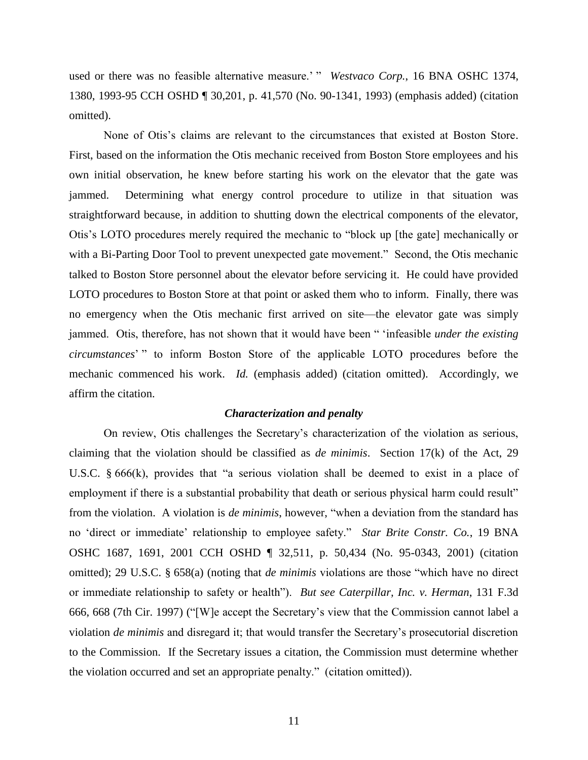used or there was no feasible alternative measure.' " *Westvaco Corp.*, 16 BNA OSHC 1374, 1380, 1993-95 CCH OSHD ¶ 30,201, p. 41,570 (No. 90-1341, 1993) (emphasis added) (citation omitted).

None of Otis's claims are relevant to the circumstances that existed at Boston Store. First, based on the information the Otis mechanic received from Boston Store employees and his own initial observation, he knew before starting his work on the elevator that the gate was jammed. Determining what energy control procedure to utilize in that situation was straightforward because, in addition to shutting down the electrical components of the elevator, Otis's LOTO procedures merely required the mechanic to "block up [the gate] mechanically or with a Bi-Parting Door Tool to prevent unexpected gate movement." Second, the Otis mechanic talked to Boston Store personnel about the elevator before servicing it. He could have provided LOTO procedures to Boston Store at that point or asked them who to inform. Finally, there was no emergency when the Otis mechanic first arrived on site—the elevator gate was simply jammed. Otis, therefore, has not shown that it would have been " 'infeasible *under the existing circumstances*' " to inform Boston Store of the applicable LOTO procedures before the mechanic commenced his work. *Id.* (emphasis added) (citation omitted). Accordingly, we affirm the citation.

## *Characterization and penalty*

On review, Otis challenges the Secretary's characterization of the violation as serious, claiming that the violation should be classified as *de minimis*. Section 17(k) of the Act, 29 U.S.C. § 666(k), provides that "a serious violation shall be deemed to exist in a place of employment if there is a substantial probability that death or serious physical harm could result" from the violation. A violation is *de minimis*, however, "when a deviation from the standard has no 'direct or immediate' relationship to employee safety." *Star Brite Constr. Co.*, 19 BNA OSHC 1687, 1691, 2001 CCH OSHD ¶ 32,511, p. 50,434 (No. 95-0343, 2001) (citation omitted); 29 U.S.C. § 658(a) (noting that *de minimis* violations are those "which have no direct or immediate relationship to safety or health"). *But see Caterpillar, Inc. v. Herman*, 131 F.3d 666, 668 (7th Cir. 1997) ("[W]e accept the Secretary's view that the Commission cannot label a violation *de minimis* and disregard it; that would transfer the Secretary's prosecutorial discretion to the Commission. If the Secretary issues a citation, the Commission must determine whether the violation occurred and set an appropriate penalty." (citation omitted)).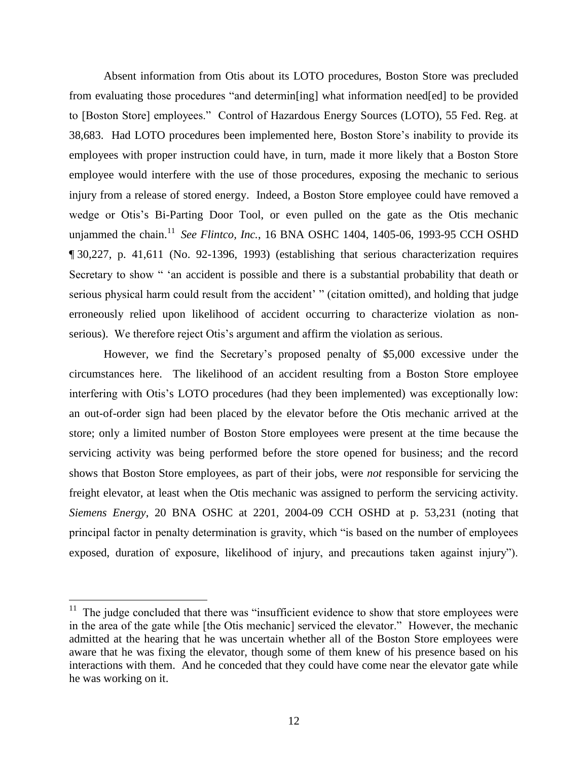Absent information from Otis about its LOTO procedures, Boston Store was precluded from evaluating those procedures "and determin[ing] what information need[ed] to be provided to [Boston Store] employees." Control of Hazardous Energy Sources (LOTO), 55 Fed. Reg. at 38,683. Had LOTO procedures been implemented here, Boston Store's inability to provide its employees with proper instruction could have, in turn, made it more likely that a Boston Store employee would interfere with the use of those procedures, exposing the mechanic to serious injury from a release of stored energy. Indeed, a Boston Store employee could have removed a wedge or Otis's Bi-Parting Door Tool, or even pulled on the gate as the Otis mechanic unjammed the chain. <sup>11</sup>*See Flintco, Inc.*, 16 BNA OSHC 1404, 1405-06, 1993-95 CCH OSHD ¶ 30,227, p. 41,611 (No. 92-1396, 1993) (establishing that serious characterization requires Secretary to show " 'an accident is possible and there is a substantial probability that death or serious physical harm could result from the accident' " (citation omitted), and holding that judge erroneously relied upon likelihood of accident occurring to characterize violation as nonserious). We therefore reject Otis's argument and affirm the violation as serious.

However, we find the Secretary's proposed penalty of \$5,000 excessive under the circumstances here. The likelihood of an accident resulting from a Boston Store employee interfering with Otis's LOTO procedures (had they been implemented) was exceptionally low: an out-of-order sign had been placed by the elevator before the Otis mechanic arrived at the store; only a limited number of Boston Store employees were present at the time because the servicing activity was being performed before the store opened for business; and the record shows that Boston Store employees, as part of their jobs, were *not* responsible for servicing the freight elevator, at least when the Otis mechanic was assigned to perform the servicing activity. *Siemens Energy*, 20 BNA OSHC at 2201, 2004-09 CCH OSHD at p. 53,231 (noting that principal factor in penalty determination is gravity, which "is based on the number of employees exposed, duration of exposure, likelihood of injury, and precautions taken against injury").

 $11$  The judge concluded that there was "insufficient evidence to show that store employees were in the area of the gate while [the Otis mechanic] serviced the elevator." However, the mechanic admitted at the hearing that he was uncertain whether all of the Boston Store employees were aware that he was fixing the elevator, though some of them knew of his presence based on his interactions with them. And he conceded that they could have come near the elevator gate while he was working on it.